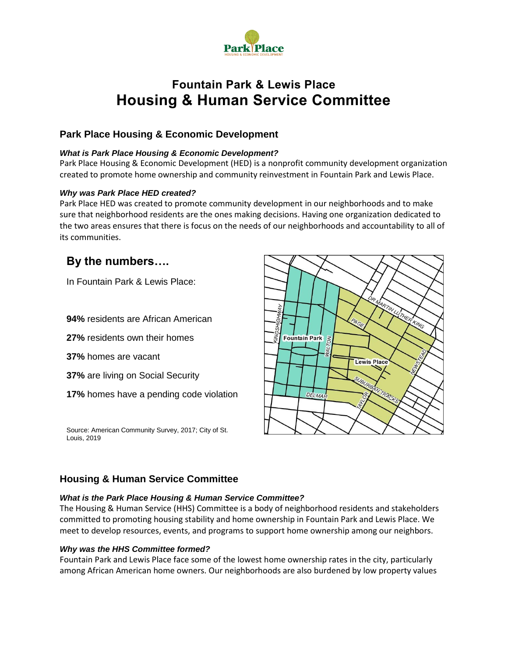

# **Fountain Park & Lewis Place Housing & Human Service Committee**

## **Park Place Housing & Economic Development**

#### *What is Park Place Housing & Economic Development?*

Park Place Housing & Economic Development (HED) is a nonprofit community development organization created to promote home ownership and community reinvestment in Fountain Park and Lewis Place.

#### *Why was Park Place HED created?*

Park Place HED was created to promote community development in our neighborhoods and to make sure that neighborhood residents are the ones making decisions. Having one organization dedicated to the two areas ensures that there is focus on the needs of our neighborhoods and accountability to all of its communities.

# **By the numbers….**

In Fountain Park & Lewis Place:

**94%** residents are African American

**27%** residents own their homes

**37%** homes are vacant

- **37%** are living on Social Security
- **17%** homes have a pending code violation

Source: American Community Survey, 2017; City of St. Louis, 2019



### **Housing & Human Service Committee**

#### *What is the Park Place Housing & Human Service Committee?*

The Housing & Human Service (HHS) Committee is a body of neighborhood residents and stakeholders committed to promoting housing stability and home ownership in Fountain Park and Lewis Place. We meet to develop resources, events, and programs to support home ownership among our neighbors.

#### *Why was the HHS Committee formed?*

Fountain Park and Lewis Place face some of the lowest home ownership rates in the city, particularly among African American home owners. Our neighborhoods are also burdened by low property values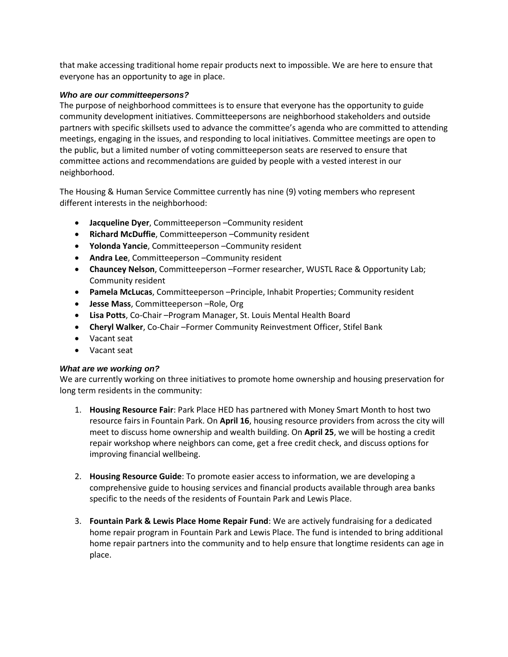that make accessing traditional home repair products next to impossible. We are here to ensure that everyone has an opportunity to age in place.

#### *Who are our committeepersons?*

The purpose of neighborhood committees is to ensure that everyone has the opportunity to guide community development initiatives. Committeepersons are neighborhood stakeholders and outside partners with specific skillsets used to advance the committee's agenda who are committed to attending meetings, engaging in the issues, and responding to local initiatives. Committee meetings are open to the public, but a limited number of voting committeeperson seats are reserved to ensure that committee actions and recommendations are guided by people with a vested interest in our neighborhood.

The Housing & Human Service Committee currently has nine (9) voting members who represent different interests in the neighborhood:

- **Jacqueline Dyer**, Committeeperson –Community resident
- **Richard McDuffie**, Committeeperson –Community resident
- **Yolonda Yancie**, Committeeperson –Community resident
- **Andra Lee**, Committeeperson –Community resident
- **Chauncey Nelson**, Committeeperson –Former researcher, WUSTL Race & Opportunity Lab; Community resident
- **Pamela McLucas**, Committeeperson –Principle, Inhabit Properties; Community resident
- **Jesse Mass**, Committeeperson –Role, Org
- **Lisa Potts**, Co-Chair –Program Manager, St. Louis Mental Health Board
- **Cheryl Walker**, Co-Chair –Former Community Reinvestment Officer, Stifel Bank
- Vacant seat
- Vacant seat

#### *What are we working on?*

We are currently working on three initiatives to promote home ownership and housing preservation for long term residents in the community:

- 1. **Housing Resource Fair**: Park Place HED has partnered with Money Smart Month to host two resource fairs in Fountain Park. On **April 16**, housing resource providers from across the city will meet to discuss home ownership and wealth building. On **April 25**, we will be hosting a credit repair workshop where neighbors can come, get a free credit check, and discuss options for improving financial wellbeing.
- 2. **Housing Resource Guide**: To promote easier access to information, we are developing a comprehensive guide to housing services and financial products available through area banks specific to the needs of the residents of Fountain Park and Lewis Place.
- 3. **Fountain Park & Lewis Place Home Repair Fund**: We are actively fundraising for a dedicated home repair program in Fountain Park and Lewis Place. The fund is intended to bring additional home repair partners into the community and to help ensure that longtime residents can age in place.